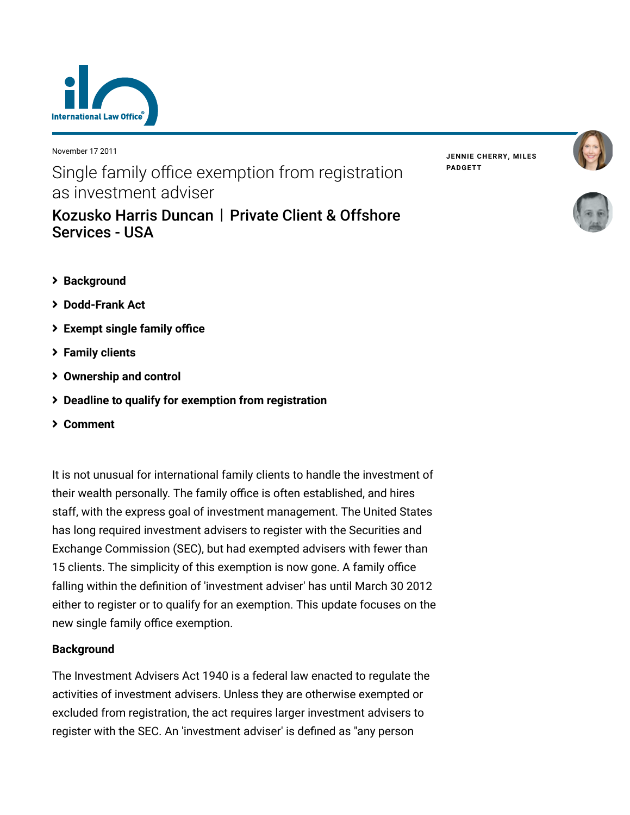

November 17 2011

Single family office exemption from registration as investment adviser

|                       | Kozusko Harris Duncan   Private Client & Offshore |
|-----------------------|---------------------------------------------------|
| <b>Services - USA</b> |                                                   |

**JENNIE [CHERRY,](https://www.lexology.com/23364/author/Jennie_Cherry/) MILES [PADGETT](https://www.lexology.com/23364/author/Miles_Padgett/)**





- **[Background](#page-0-0)**
- **[Dodd-Frank Act](#page-1-0)**
- **[Exempt single family office](#page-2-0)**
- **[Family clients](#page-2-1)**
- **[Ownership and control](#page-4-0)**
- **[Deadline to qualify for exemption from registration](#page-4-1)**
- **[Comment](#page-4-1)**

It is not unusual for international family clients to handle the investment of their wealth personally. The family office is often established, and hires staff, with the express goal of investment management. The United States has long required investment advisers to register with the Securities and Exchange Commission (SEC), but had exempted advisers with fewer than 15 clients. The simplicity of this exemption is now gone. A family office falling within the definition of 'investment adviser' has until March 30 2012 either to register or to qualify for an exemption. This update focuses on the new single family office exemption.

## <span id="page-0-0"></span>**Background**

The Investment Advisers Act 1940 is a federal law enacted to regulate the activities of investment advisers. Unless they are otherwise exempted or excluded from registration, the act requires larger investment advisers to register with the SEC. An 'investment adviser' is defined as "any person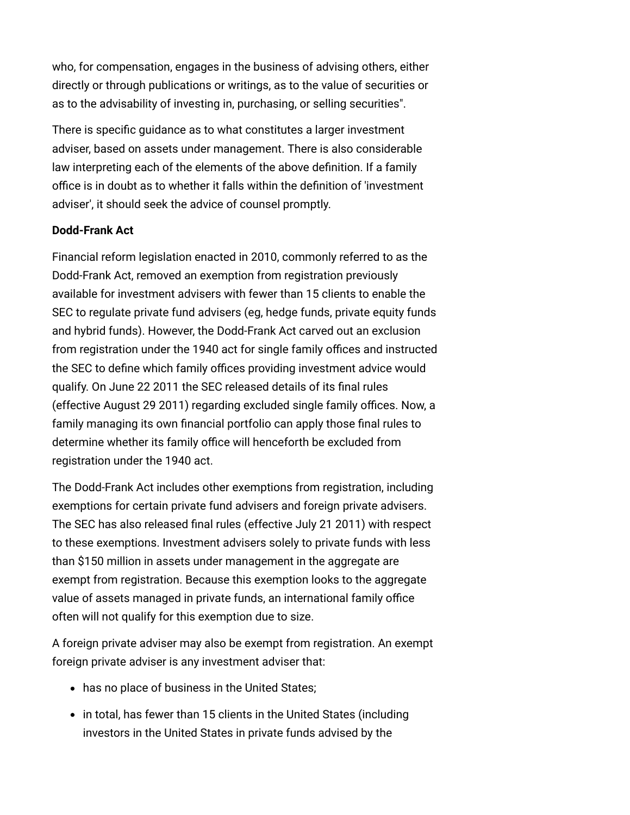who, for compensation, engages in the business of advising others, either directly or through publications or writings, as to the value of securities or as to the advisability of investing in, purchasing, or selling securities".

There is specific guidance as to what constitutes a larger investment adviser, based on assets under management. There is also considerable law interpreting each of the elements of the above definition. If a family office is in doubt as to whether it falls within the definition of 'investment adviser', it should seek the advice of counsel promptly.

## <span id="page-1-0"></span>**Dodd-Frank Act**

Financial reform legislation enacted in 2010, commonly referred to as the Dodd-Frank Act, removed an exemption from registration previously available for investment advisers with fewer than 15 clients to enable the SEC to regulate private fund advisers (eg, hedge funds, private equity funds and hybrid funds). However, the Dodd-Frank Act carved out an exclusion from registration under the 1940 act for single family offices and instructed the SEC to define which family offices providing investment advice would qualify. On June 22 2011 the SEC released details of its final rules (effective August 29 2011) regarding excluded single family offices. Now, a family managing its own financial portfolio can apply those final rules to determine whether its family office will henceforth be excluded from registration under the 1940 act.

The Dodd-Frank Act includes other exemptions from registration, including exemptions for certain private fund advisers and foreign private advisers. The SEC has also released final rules (effective July 21 2011) with respect to these exemptions. Investment advisers solely to private funds with less than \$150 million in assets under management in the aggregate are exempt from registration. Because this exemption looks to the aggregate value of assets managed in private funds, an international family office often will not qualify for this exemption due to size.

A foreign private adviser may also be exempt from registration. An exempt foreign private adviser is any investment adviser that:

- has no place of business in the United States;
- in total, has fewer than 15 clients in the United States (including investors in the United States in private funds advised by the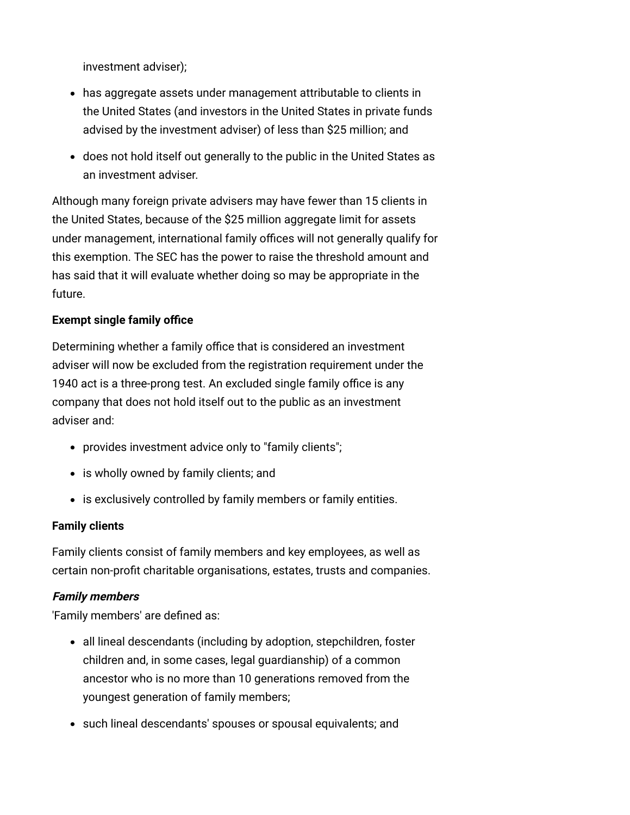investment adviser);

- has aggregate assets under management attributable to clients in the United States (and investors in the United States in private funds advised by the investment adviser) of less than \$25 million; and
- does not hold itself out generally to the public in the United States as an investment adviser.

Although many foreign private advisers may have fewer than 15 clients in the United States, because of the \$25 million aggregate limit for assets under management, international family offices will not generally qualify for this exemption. The SEC has the power to raise the threshold amount and has said that it will evaluate whether doing so may be appropriate in the future.

# <span id="page-2-0"></span>**Exempt single family office**

Determining whether a family office that is considered an investment adviser will now be excluded from the registration requirement under the 1940 act is a three-prong test. An excluded single family office is any company that does not hold itself out to the public as an investment adviser and:

- provides investment advice only to "family clients";
- is wholly owned by family clients; and
- is exclusively controlled by family members or family entities.

## <span id="page-2-1"></span>**Family clients**

Family clients consist of family members and key employees, as well as certain non-profit charitable organisations, estates, trusts and companies.

## **Family members**

'Family members' are defined as:

- all lineal descendants (including by adoption, stepchildren, foster children and, in some cases, legal guardianship) of a common ancestor who is no more than 10 generations removed from the youngest generation of family members;
- such lineal descendants' spouses or spousal equivalents; and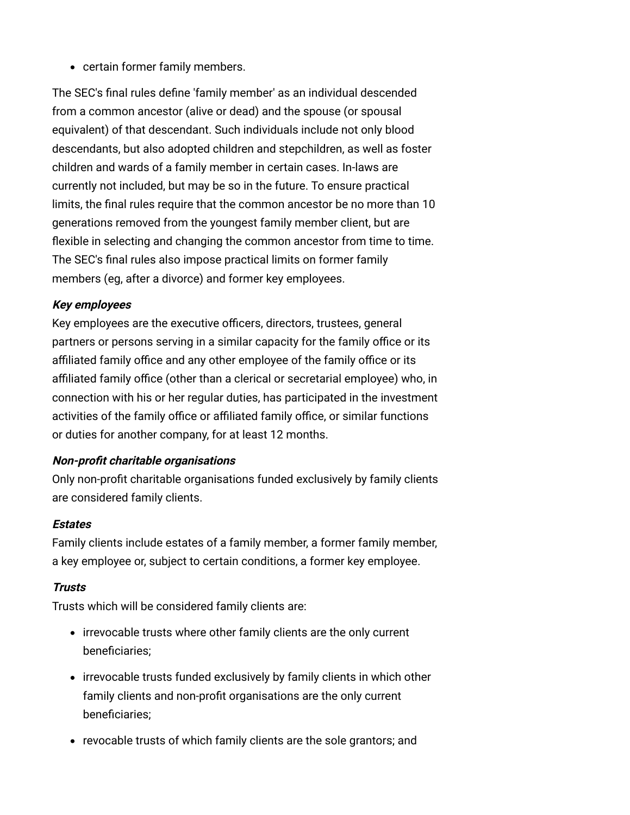certain former family members.

The SEC's final rules define 'family member' as an individual descended from a common ancestor (alive or dead) and the spouse (or spousal equivalent) of that descendant. Such individuals include not only blood descendants, but also adopted children and stepchildren, as well as foster children and wards of a family member in certain cases. In-laws are currently not included, but may be so in the future. To ensure practical limits, the final rules require that the common ancestor be no more than 10 generations removed from the youngest family member client, but are flexible in selecting and changing the common ancestor from time to time. The SEC's final rules also impose practical limits on former family members (eg, after a divorce) and former key employees.

## **Key employees**

Key employees are the executive officers, directors, trustees, general partners or persons serving in a similar capacity for the family office or its affiliated family office and any other employee of the family office or its affiliated family office (other than a clerical or secretarial employee) who, in connection with his or her regular duties, has participated in the investment activities of the family office or affiliated family office, or similar functions or duties for another company, for at least 12 months.

## **Non-profit charitable organisations**

Only non-profit charitable organisations funded exclusively by family clients are considered family clients.

#### **Estates**

Family clients include estates of a family member, a former family member, a key employee or, subject to certain conditions, a former key employee.

## **Trusts**

Trusts which will be considered family clients are:

- irrevocable trusts where other family clients are the only current beneficiaries;
- irrevocable trusts funded exclusively by family clients in which other family clients and non-profit organisations are the only current beneficiaries;
- revocable trusts of which family clients are the sole grantors; and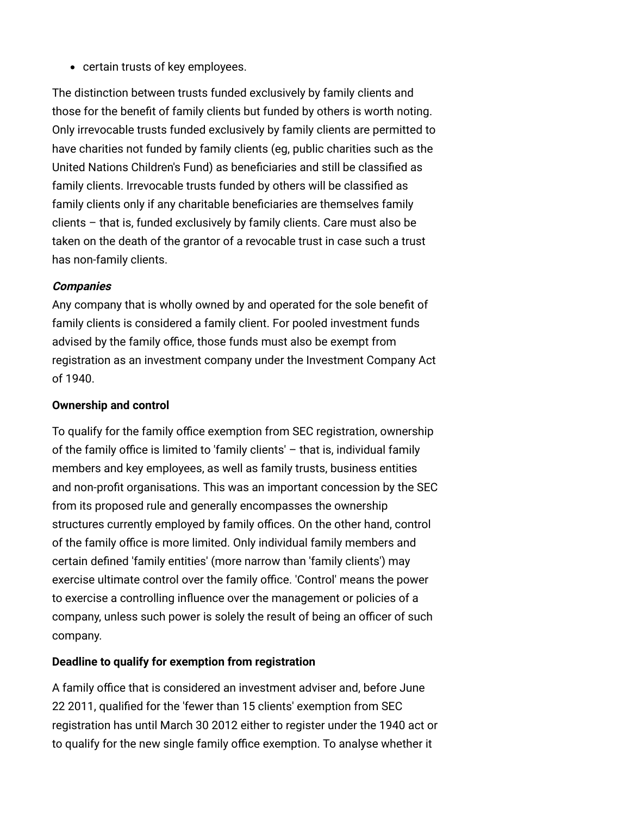• certain trusts of key employees.

The distinction between trusts funded exclusively by family clients and those for the benefit of family clients but funded by others is worth noting. Only irrevocable trusts funded exclusively by family clients are permitted to have charities not funded by family clients (eg, public charities such as the United Nations Children's Fund) as beneficiaries and still be classified as family clients. Irrevocable trusts funded by others will be classified as family clients only if any charitable beneficiaries are themselves family clients – that is, funded exclusively by family clients. Care must also be taken on the death of the grantor of a revocable trust in case such a trust has non-family clients.

### **Companies**

Any company that is wholly owned by and operated for the sole benefit of family clients is considered a family client. For pooled investment funds advised by the family office, those funds must also be exempt from registration as an investment company under the Investment Company Act of 1940.

### <span id="page-4-0"></span>**Ownership and control**

To qualify for the family office exemption from SEC registration, ownership of the family office is limited to 'family clients' – that is, individual family members and key employees, as well as family trusts, business entities and non-profit organisations. This was an important concession by the SEC from its proposed rule and generally encompasses the ownership structures currently employed by family offices. On the other hand, control of the family office is more limited. Only individual family members and certain defined 'family entities' (more narrow than 'family clients') may exercise ultimate control over the family office. 'Control' means the power to exercise a controlling influence over the management or policies of a company, unless such power is solely the result of being an officer of such company.

## <span id="page-4-1"></span>**Deadline to qualify for exemption from registration**

A family office that is considered an investment adviser and, before June 22 2011, qualified for the 'fewer than 15 clients' exemption from SEC registration has until March 30 2012 either to register under the 1940 act or to qualify for the new single family office exemption. To analyse whether it